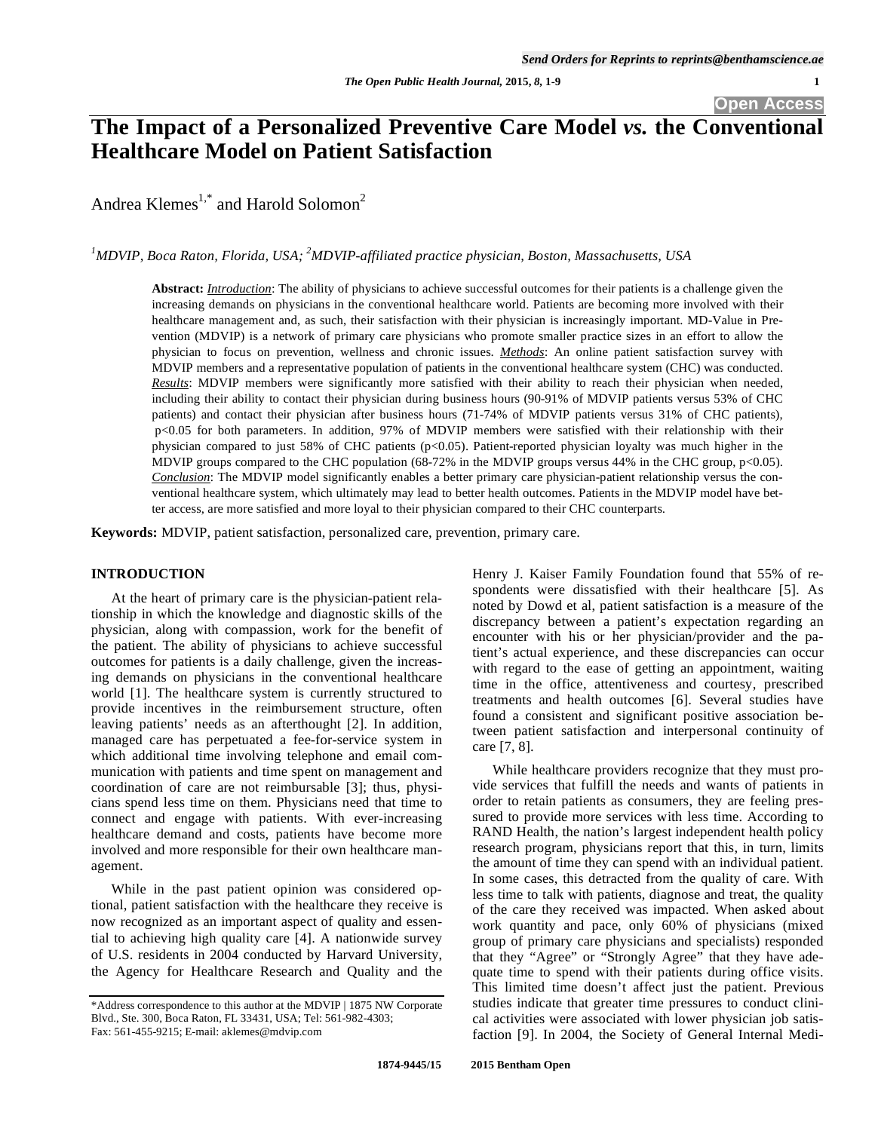# **The Impact of a Personalized Preventive Care Model** *vs.* **the Conventional Healthcare Model on Patient Satisfaction**

Andrea Klemes<sup>1,\*</sup> and Harold Solomon<sup>2</sup>

*1 MDVIP, Boca Raton, Florida, USA; 2 MDVIP-affiliated practice physician, Boston, Massachusetts, USA* 

**Abstract:** *Introduction*: The ability of physicians to achieve successful outcomes for their patients is a challenge given the increasing demands on physicians in the conventional healthcare world. Patients are becoming more involved with their healthcare management and, as such, their satisfaction with their physician is increasingly important. MD-Value in Prevention (MDVIP) is a network of primary care physicians who promote smaller practice sizes in an effort to allow the physician to focus on prevention, wellness and chronic issues. *Methods*: An online patient satisfaction survey with MDVIP members and a representative population of patients in the conventional healthcare system (CHC) was conducted. *Results*: MDVIP members were significantly more satisfied with their ability to reach their physician when needed, including their ability to contact their physician during business hours (90-91% of MDVIP patients versus 53% of CHC patients) and contact their physician after business hours (71-74% of MDVIP patients versus 31% of CHC patients), p<0.05 for both parameters. In addition, 97% of MDVIP members were satisfied with their relationship with their physician compared to just 58% of CHC patients (p<0.05). Patient-reported physician loyalty was much higher in the MDVIP groups compared to the CHC population (68-72% in the MDVIP groups versus 44% in the CHC group, p<0.05). *Conclusion*: The MDVIP model significantly enables a better primary care physician-patient relationship versus the conventional healthcare system, which ultimately may lead to better health outcomes. Patients in the MDVIP model have better access, are more satisfied and more loyal to their physician compared to their CHC counterparts.

**Keywords:** MDVIP, patient satisfaction, personalized care, prevention, primary care.

# **INTRODUCTION**

At the heart of primary care is the physician-patient relationship in which the knowledge and diagnostic skills of the physician, along with compassion, work for the benefit of the patient. The ability of physicians to achieve successful outcomes for patients is a daily challenge, given the increasing demands on physicians in the conventional healthcare world [1]. The healthcare system is currently structured to provide incentives in the reimbursement structure, often leaving patients' needs as an afterthought [2]. In addition, managed care has perpetuated a fee-for-service system in which additional time involving telephone and email communication with patients and time spent on management and coordination of care are not reimbursable [3]; thus, physicians spend less time on them. Physicians need that time to connect and engage with patients. With ever-increasing healthcare demand and costs, patients have become more involved and more responsible for their own healthcare management.

 While in the past patient opinion was considered optional, patient satisfaction with the healthcare they receive is now recognized as an important aspect of quality and essential to achieving high quality care [4]. A nationwide survey of U.S. residents in 2004 conducted by Harvard University, the Agency for Healthcare Research and Quality and the

Henry J. Kaiser Family Foundation found that 55% of respondents were dissatisfied with their healthcare [5]. As noted by Dowd et al, patient satisfaction is a measure of the discrepancy between a patient's expectation regarding an encounter with his or her physician/provider and the patient's actual experience, and these discrepancies can occur with regard to the ease of getting an appointment, waiting time in the office, attentiveness and courtesy, prescribed treatments and health outcomes [6]. Several studies have found a consistent and significant positive association between patient satisfaction and interpersonal continuity of care [7, 8].

While healthcare providers recognize that they must provide services that fulfill the needs and wants of patients in order to retain patients as consumers, they are feeling pressured to provide more services with less time. According to RAND Health, the nation's largest independent health policy research program, physicians report that this, in turn, limits the amount of time they can spend with an individual patient. In some cases, this detracted from the quality of care. With less time to talk with patients, diagnose and treat, the quality of the care they received was impacted. When asked about work quantity and pace, only 60% of physicians (mixed group of primary care physicians and specialists) responded that they "Agree" or "Strongly Agree" that they have adequate time to spend with their patients during office visits. This limited time doesn't affect just the patient. Previous studies indicate that greater time pressures to conduct clinical activities were associated with lower physician job satisfaction [9]. In 2004, the Society of General Internal Medi-

<sup>\*</sup>Address correspondence to this author at the MDVIP | 1875 NW Corporate Blvd., Ste. 300, Boca Raton, FL 33431, USA; Tel: 561-982-4303; Fax: 561-455-9215; E-mail: aklemes@mdvip.com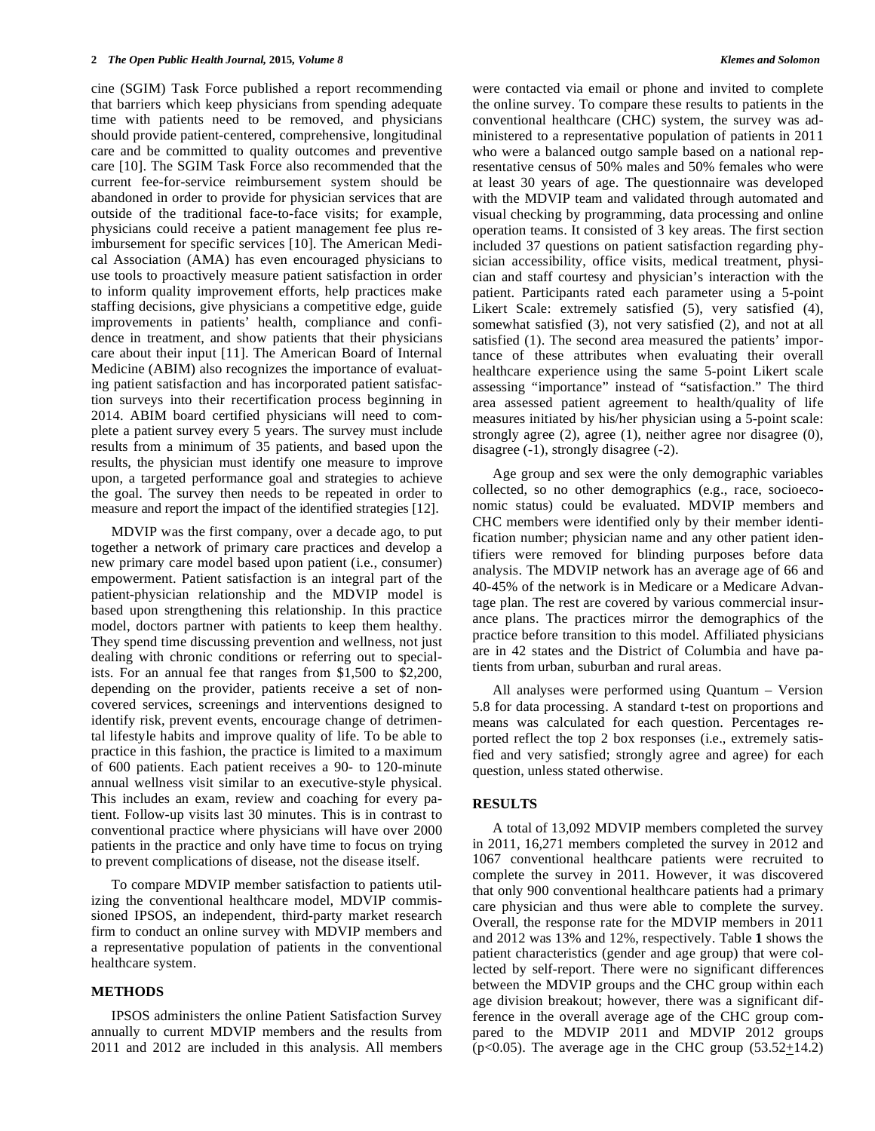cine (SGIM) Task Force published a report recommending that barriers which keep physicians from spending adequate time with patients need to be removed, and physicians should provide patient-centered, comprehensive, longitudinal care and be committed to quality outcomes and preventive care [10]. The SGIM Task Force also recommended that the current fee-for-service reimbursement system should be abandoned in order to provide for physician services that are outside of the traditional face-to-face visits; for example, physicians could receive a patient management fee plus reimbursement for specific services [10]. The American Medical Association (AMA) has even encouraged physicians to use tools to proactively measure patient satisfaction in order to inform quality improvement efforts, help practices make staffing decisions, give physicians a competitive edge, guide improvements in patients' health, compliance and confidence in treatment, and show patients that their physicians care about their input [11]. The American Board of Internal Medicine (ABIM) also recognizes the importance of evaluating patient satisfaction and has incorporated patient satisfaction surveys into their recertification process beginning in 2014. ABIM board certified physicians will need to complete a patient survey every 5 years. The survey must include results from a minimum of 35 patients, and based upon the results, the physician must identify one measure to improve upon, a targeted performance goal and strategies to achieve the goal. The survey then needs to be repeated in order to measure and report the impact of the identified strategies [12].

MDVIP was the first company, over a decade ago, to put together a network of primary care practices and develop a new primary care model based upon patient (i.e., consumer) empowerment. Patient satisfaction is an integral part of the patient-physician relationship and the MDVIP model is based upon strengthening this relationship. In this practice model, doctors partner with patients to keep them healthy. They spend time discussing prevention and wellness, not just dealing with chronic conditions or referring out to specialists. For an annual fee that ranges from \$1,500 to \$2,200, depending on the provider, patients receive a set of noncovered services, screenings and interventions designed to identify risk, prevent events, encourage change of detrimental lifestyle habits and improve quality of life. To be able to practice in this fashion, the practice is limited to a maximum of 600 patients. Each patient receives a 90- to 120-minute annual wellness visit similar to an executive-style physical. This includes an exam, review and coaching for every patient. Follow-up visits last 30 minutes. This is in contrast to conventional practice where physicians will have over 2000 patients in the practice and only have time to focus on trying to prevent complications of disease, not the disease itself.

To compare MDVIP member satisfaction to patients utilizing the conventional healthcare model, MDVIP commissioned IPSOS, an independent, third-party market research firm to conduct an online survey with MDVIP members and a representative population of patients in the conventional healthcare system.

#### **METHODS**

IPSOS administers the online Patient Satisfaction Survey annually to current MDVIP members and the results from 2011 and 2012 are included in this analysis. All members were contacted via email or phone and invited to complete the online survey. To compare these results to patients in the conventional healthcare (CHC) system, the survey was administered to a representative population of patients in 2011 who were a balanced outgo sample based on a national representative census of 50% males and 50% females who were at least 30 years of age. The questionnaire was developed with the MDVIP team and validated through automated and visual checking by programming, data processing and online operation teams. It consisted of 3 key areas. The first section included 37 questions on patient satisfaction regarding physician accessibility, office visits, medical treatment, physician and staff courtesy and physician's interaction with the patient. Participants rated each parameter using a 5-point Likert Scale: extremely satisfied (5), very satisfied (4), somewhat satisfied (3), not very satisfied (2), and not at all satisfied (1). The second area measured the patients' importance of these attributes when evaluating their overall healthcare experience using the same 5-point Likert scale assessing "importance" instead of "satisfaction." The third area assessed patient agreement to health/quality of life measures initiated by his/her physician using a 5-point scale: strongly agree  $(2)$ , agree  $(1)$ , neither agree nor disagree  $(0)$ , disagree (-1), strongly disagree (-2).

Age group and sex were the only demographic variables collected, so no other demographics (e.g., race, socioeconomic status) could be evaluated. MDVIP members and CHC members were identified only by their member identification number; physician name and any other patient identifiers were removed for blinding purposes before data analysis. The MDVIP network has an average age of 66 and 40-45% of the network is in Medicare or a Medicare Advantage plan. The rest are covered by various commercial insurance plans. The practices mirror the demographics of the practice before transition to this model. Affiliated physicians are in 42 states and the District of Columbia and have patients from urban, suburban and rural areas.

All analyses were performed using Quantum – Version 5.8 for data processing. A standard t-test on proportions and means was calculated for each question. Percentages reported reflect the top 2 box responses (i.e., extremely satisfied and very satisfied; strongly agree and agree) for each question, unless stated otherwise.

### **RESULTS**

A total of 13,092 MDVIP members completed the survey in 2011, 16,271 members completed the survey in 2012 and 1067 conventional healthcare patients were recruited to complete the survey in 2011. However, it was discovered that only 900 conventional healthcare patients had a primary care physician and thus were able to complete the survey. Overall, the response rate for the MDVIP members in 2011 and 2012 was 13% and 12%, respectively. Table **1** shows the patient characteristics (gender and age group) that were collected by self-report. There were no significant differences between the MDVIP groups and the CHC group within each age division breakout; however, there was a significant difference in the overall average age of the CHC group compared to the MDVIP 2011 and MDVIP 2012 groups ( $p<0.05$ ). The average age in the CHC group ( $53.52+14.2$ )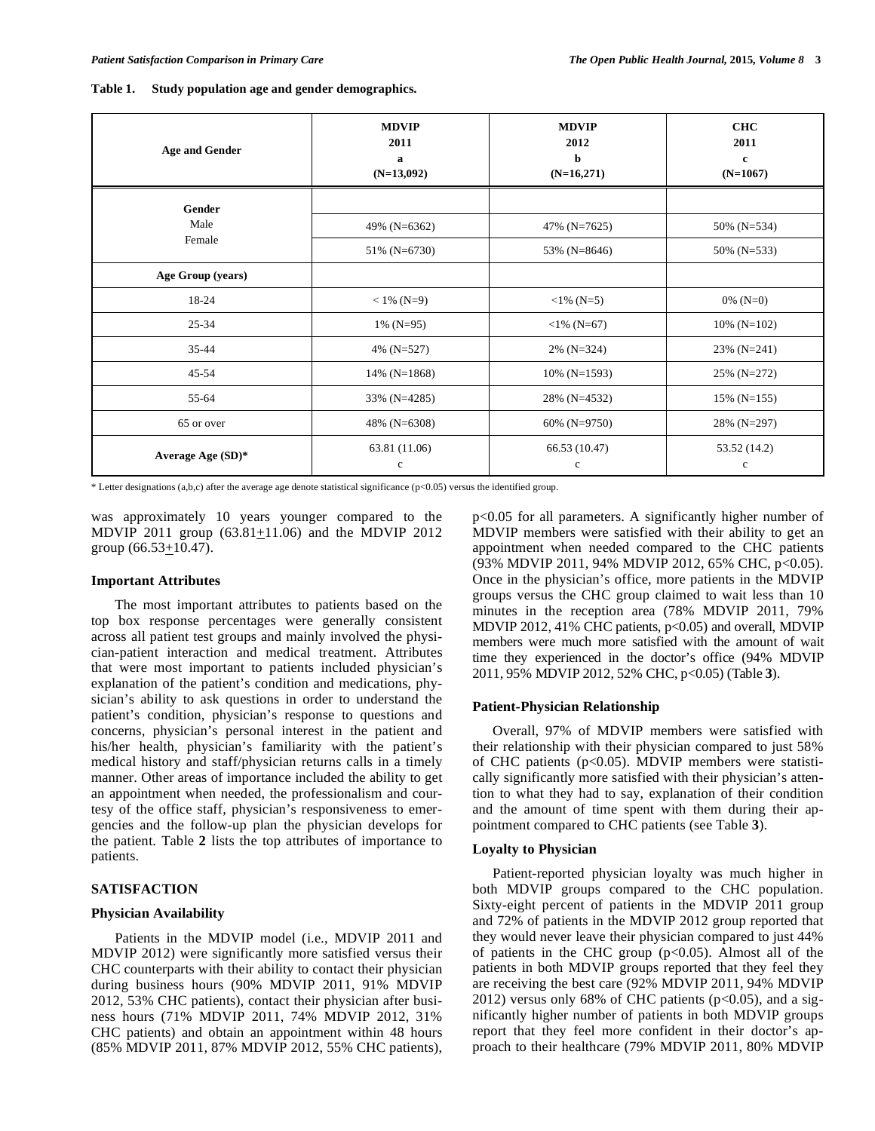| Table 1. |  | Study population age and gender demographics. |  |
|----------|--|-----------------------------------------------|--|
|----------|--|-----------------------------------------------|--|

| <b>Age and Gender</b> | <b>MDVIP</b><br>2011<br>a<br>$(N=13,092)$ | <b>MDVIP</b><br>2012<br>b<br>$(N=16,271)$ | <b>CHC</b><br>2011<br>$\mathbf c$<br>$(N=1067)$ |
|-----------------------|-------------------------------------------|-------------------------------------------|-------------------------------------------------|
| Gender                |                                           |                                           |                                                 |
| Male                  | 49% (N=6362)                              | 47% (N=7625)                              | 50% (N=534)                                     |
| Female                | 51% (N=6730)                              | 53% (N=8646)                              | 50% ( $N=533$ )                                 |
| Age Group (years)     |                                           |                                           |                                                 |
| 18-24                 | $< 1\%$ (N=9)                             | $<1\%$ (N=5)                              | 0% ( $N=0$ )                                    |
| $25 - 34$             | $1\%$ (N=95)                              | $<$ 1% (N=67)                             | $10\%$ (N=102)                                  |
| 35-44                 | 4% (N=527)                                | $2\%$ (N=324)                             | $23\%$ (N=241)                                  |
| $45 - 54$             | 14% ( $N=1868$ )                          | $10\%$ (N=1593)                           | $25\%$ (N=272)                                  |
| 55-64                 | 33% (N=4285)                              | 28% (N=4532)                              | $15\%$ (N=155)                                  |
| 65 or over            | 48% (N=6308)                              | 60% (N=9750)                              | 28% (N=297)                                     |
| Average Age $(SD)*$   | 63.81 (11.06)<br>$\mathbf c$              | 66.53 (10.47)<br>$\mathbf c$              | 53.52 (14.2)<br>$\mathbf c$                     |

\* Letter designations (a,b,c) after the average age denote statistical significance (p<0.05) versus the identified group.

was approximately 10 years younger compared to the MDVIP 2011 group  $(63.81 \pm 11.06)$  and the MDVIP 2012 group  $(66.53 \pm 10.47)$ .

#### **Important Attributes**

 The most important attributes to patients based on the top box response percentages were generally consistent across all patient test groups and mainly involved the physician-patient interaction and medical treatment. Attributes that were most important to patients included physician's explanation of the patient's condition and medications, physician's ability to ask questions in order to understand the patient's condition, physician's response to questions and concerns, physician's personal interest in the patient and his/her health, physician's familiarity with the patient's medical history and staff/physician returns calls in a timely manner. Other areas of importance included the ability to get an appointment when needed, the professionalism and courtesy of the office staff, physician's responsiveness to emergencies and the follow-up plan the physician develops for the patient. Table **2** lists the top attributes of importance to patients.

# **SATISFACTION**

#### **Physician Availability**

 Patients in the MDVIP model (i.e., MDVIP 2011 and MDVIP 2012) were significantly more satisfied versus their CHC counterparts with their ability to contact their physician during business hours (90% MDVIP 2011, 91% MDVIP 2012, 53% CHC patients), contact their physician after business hours (71% MDVIP 2011, 74% MDVIP 2012, 31% CHC patients) and obtain an appointment within 48 hours (85% MDVIP 2011, 87% MDVIP 2012, 55% CHC patients), p<0.05 for all parameters. A significantly higher number of MDVIP members were satisfied with their ability to get an appointment when needed compared to the CHC patients (93% MDVIP 2011, 94% MDVIP 2012, 65% CHC, p<0.05). Once in the physician's office, more patients in the MDVIP groups versus the CHC group claimed to wait less than 10 minutes in the reception area (78% MDVIP 2011, 79% MDVIP 2012, 41% CHC patients, p<0.05) and overall, MDVIP members were much more satisfied with the amount of wait time they experienced in the doctor's office (94% MDVIP 2011, 95% MDVIP 2012, 52% CHC, p<0.05) (Table **3**).

#### **Patient-Physician Relationship**

Overall, 97% of MDVIP members were satisfied with their relationship with their physician compared to just 58% of CHC patients (p<0.05). MDVIP members were statistically significantly more satisfied with their physician's attention to what they had to say, explanation of their condition and the amount of time spent with them during their appointment compared to CHC patients (see Table **3**).

#### **Loyalty to Physician**

Patient-reported physician loyalty was much higher in both MDVIP groups compared to the CHC population. Sixty-eight percent of patients in the MDVIP 2011 group and 72% of patients in the MDVIP 2012 group reported that they would never leave their physician compared to just 44% of patients in the CHC group  $(p<0.05)$ . Almost all of the patients in both MDVIP groups reported that they feel they are receiving the best care (92% MDVIP 2011, 94% MDVIP 2012) versus only 68% of CHC patients ( $p<0.05$ ), and a significantly higher number of patients in both MDVIP groups report that they feel more confident in their doctor's approach to their healthcare (79% MDVIP 2011, 80% MDVIP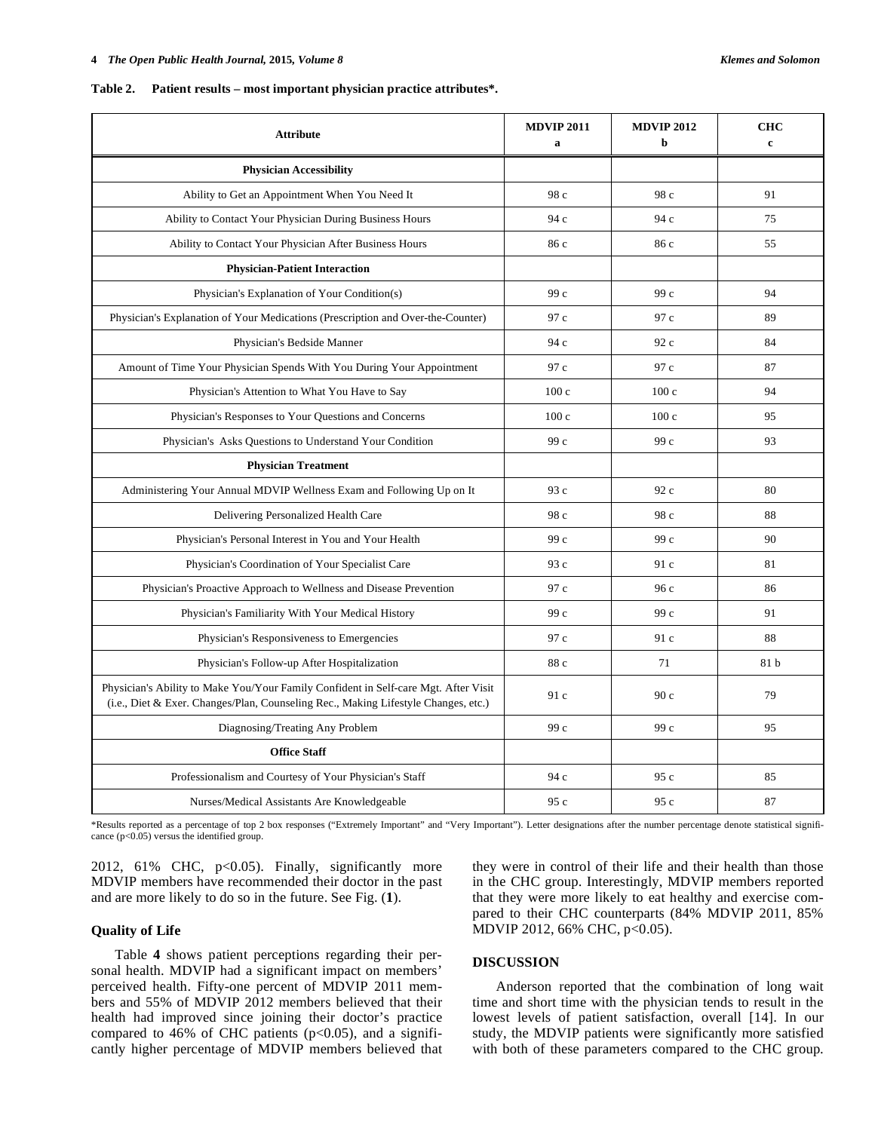#### **Table 2. Patient results – most important physician practice attributes\*.**

| <b>Attribute</b>                                                                                                                                                          | <b>MDVIP 2011</b><br>a | <b>MDVIP 2012</b><br>b | <b>CHC</b><br>$\mathbf{c}$ |
|---------------------------------------------------------------------------------------------------------------------------------------------------------------------------|------------------------|------------------------|----------------------------|
| <b>Physician Accessibility</b>                                                                                                                                            |                        |                        |                            |
| Ability to Get an Appointment When You Need It                                                                                                                            | 98 c                   | 98 c                   | 91                         |
| Ability to Contact Your Physician During Business Hours                                                                                                                   | 94 c                   | 94 c                   | 75                         |
| Ability to Contact Your Physician After Business Hours                                                                                                                    | 86 c                   | 86 c                   | 55                         |
| <b>Physician-Patient Interaction</b>                                                                                                                                      |                        |                        |                            |
| Physician's Explanation of Your Condition(s)                                                                                                                              | 99 c                   | 99 c                   | 94                         |
| Physician's Explanation of Your Medications (Prescription and Over-the-Counter)                                                                                           | 97 c                   | 97 c                   | 89                         |
| Physician's Bedside Manner                                                                                                                                                | 94 c                   | 92 c                   | 84                         |
| Amount of Time Your Physician Spends With You During Your Appointment                                                                                                     | 97 c                   | 97 c                   | 87                         |
| Physician's Attention to What You Have to Say                                                                                                                             | 100c                   | 100c                   | 94                         |
| Physician's Responses to Your Questions and Concerns                                                                                                                      | 100c                   | 100c                   | 95                         |
| Physician's Asks Questions to Understand Your Condition                                                                                                                   | 99 c                   | 99 c                   | 93                         |
| <b>Physician Treatment</b>                                                                                                                                                |                        |                        |                            |
| Administering Your Annual MDVIP Wellness Exam and Following Up on It                                                                                                      | 93 c                   | 92c                    | 80                         |
| Delivering Personalized Health Care                                                                                                                                       | 98 c                   | 98 c                   | 88                         |
| Physician's Personal Interest in You and Your Health                                                                                                                      | 99 c                   | 99 c                   | 90                         |
| Physician's Coordination of Your Specialist Care                                                                                                                          | 93 c                   | 91c                    | 81                         |
| Physician's Proactive Approach to Wellness and Disease Prevention                                                                                                         | 97 c                   | 96c                    | 86                         |
| Physician's Familiarity With Your Medical History                                                                                                                         | 99 с                   | 99 c                   | 91                         |
| Physician's Responsiveness to Emergencies                                                                                                                                 | 97 c                   | 91 c                   | 88                         |
| Physician's Follow-up After Hospitalization                                                                                                                               | 88 c                   | 71                     | 81 b                       |
| Physician's Ability to Make You/Your Family Confident in Self-care Mgt. After Visit<br>(i.e., Diet & Exer. Changes/Plan, Counseling Rec., Making Lifestyle Changes, etc.) | 91 c                   | 90c                    | 79                         |
| Diagnosing/Treating Any Problem                                                                                                                                           | 99 с                   | 99 c                   | 95                         |
| <b>Office Staff</b>                                                                                                                                                       |                        |                        |                            |
| Professionalism and Courtesy of Your Physician's Staff                                                                                                                    | 94 c                   | 95c                    | 85                         |
| Nurses/Medical Assistants Are Knowledgeable                                                                                                                               | 95 c                   | 95c                    | 87                         |

\*Results reported as a percentage of top 2 box responses ("Extremely Important" and "Very Important"). Letter designations after the number percentage denote statistical significance (p<0.05) versus the identified group.

2012, 61% CHC, p<0.05). Finally, significantly more MDVIP members have recommended their doctor in the past and are more likely to do so in the future. See Fig. (**1**).

#### **Quality of Life**

 Table **4** shows patient perceptions regarding their personal health. MDVIP had a significant impact on members' perceived health. Fifty-one percent of MDVIP 2011 members and 55% of MDVIP 2012 members believed that their health had improved since joining their doctor's practice compared to 46% of CHC patients  $(p<0.05)$ , and a significantly higher percentage of MDVIP members believed that

# in the CHC group. Interestingly, MDVIP members reported that they were more likely to eat healthy and exercise compared to their CHC counterparts (84% MDVIP 2011, 85% MDVIP 2012, 66% CHC, p<0.05).

they were in control of their life and their health than those

### **DISCUSSION**

 Anderson reported that the combination of long wait time and short time with the physician tends to result in the lowest levels of patient satisfaction, overall [14]. In our study, the MDVIP patients were significantly more satisfied with both of these parameters compared to the CHC group.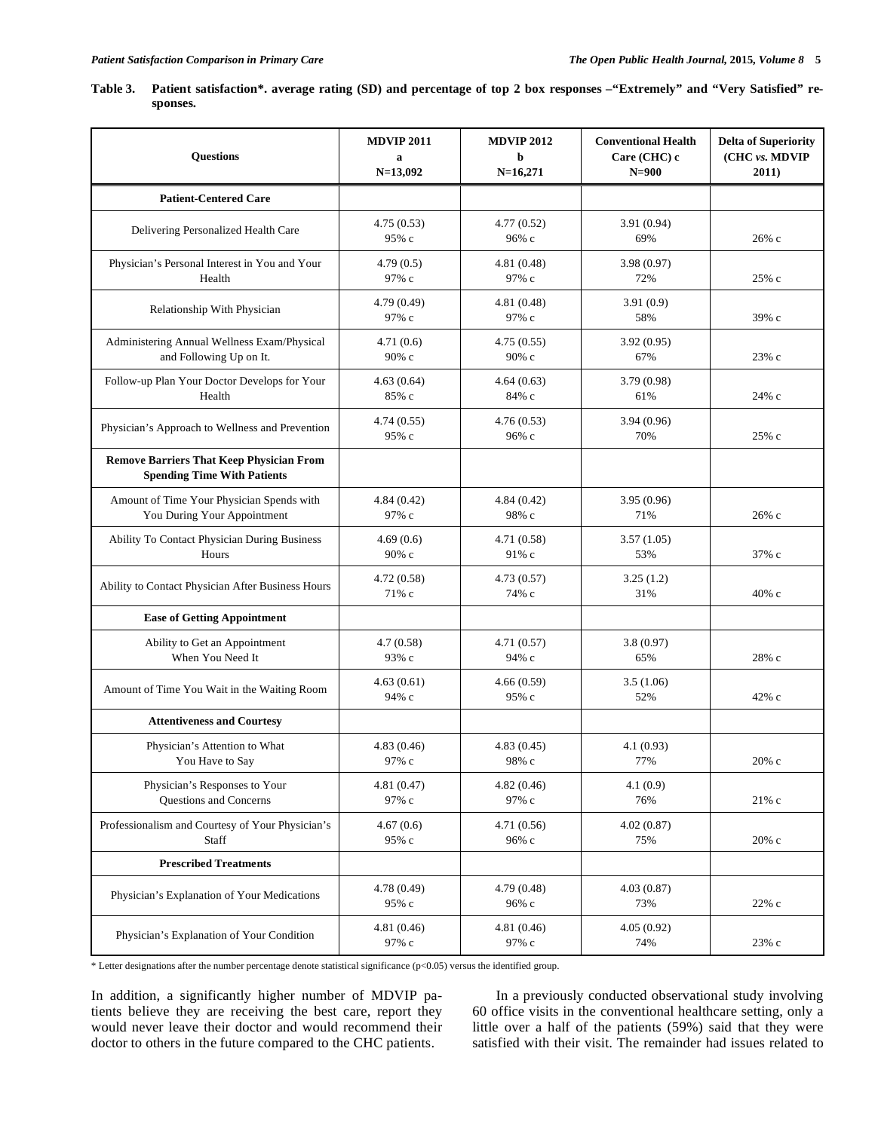**Table 3. Patient satisfaction\*. average rating (SD) and percentage of top 2 box responses –"Extremely" and "Very Satisfied" responses.** 

| <b>Questions</b>                                                                      | <b>MDVIP 2011</b><br>a<br>$N=13,092$ | <b>MDVIP 2012</b><br>b<br>$N=16,271$ | <b>Conventional Health</b><br>Care (CHC) c<br>$N=900$ | <b>Delta of Superiority</b><br>(CHC vs. MDVIP<br>2011) |
|---------------------------------------------------------------------------------------|--------------------------------------|--------------------------------------|-------------------------------------------------------|--------------------------------------------------------|
| <b>Patient-Centered Care</b>                                                          |                                      |                                      |                                                       |                                                        |
| Delivering Personalized Health Care                                                   | 4.75(0.53)<br>95% с                  | 4.77(0.52)<br>96% с                  | 3.91 (0.94)<br>69%                                    | 26% с                                                  |
| Physician's Personal Interest in You and Your<br>Health                               | 4.79(0.5)<br>97% с                   | 4.81(0.48)<br>97% с                  | 3.98(0.97)<br>72%                                     | 25% с                                                  |
| Relationship With Physician                                                           | 4.79 (0.49)<br>97% с                 | 4.81(0.48)<br>97% с                  | 3.91(0.9)<br>58%                                      | 39% с                                                  |
| Administering Annual Wellness Exam/Physical<br>and Following Up on It.                | 4.71(0.6)<br>90% с                   | 4.75(0.55)<br>90% с                  | 3.92(0.95)<br>67%                                     | 23% с                                                  |
| Follow-up Plan Your Doctor Develops for Your<br>Health                                | 4.63(0.64)<br>85% с                  | 4.64(0.63)<br>84% с                  | 3.79(0.98)<br>61%                                     | 24% с                                                  |
| Physician's Approach to Wellness and Prevention                                       | 4.74(0.55)<br>95% с                  | 4.76(0.53)<br>96% с                  | 3.94(0.96)<br>70%                                     | 25% с                                                  |
| <b>Remove Barriers That Keep Physician From</b><br><b>Spending Time With Patients</b> |                                      |                                      |                                                       |                                                        |
| Amount of Time Your Physician Spends with<br>You During Your Appointment              | 4.84(0.42)<br>97% с                  | 4.84(0.42)<br>98% с                  | 3.95(0.96)<br>71%                                     | 26% с                                                  |
| Ability To Contact Physician During Business<br>Hours                                 | 4.69(0.6)<br>90% с                   | 4.71 (0.58)<br>91% с                 | 3.57(1.05)<br>53%                                     | 37% с                                                  |
| Ability to Contact Physician After Business Hours                                     | 4.72(0.58)<br>71% с                  | 4.73(0.57)<br>74% с                  | 3.25(1.2)<br>31%                                      | 40% с                                                  |
| <b>Ease of Getting Appointment</b>                                                    |                                      |                                      |                                                       |                                                        |
| Ability to Get an Appointment<br>When You Need It                                     | 4.7(0.58)<br>93% с                   | 4.71(0.57)<br>94% с                  | 3.8(0.97)<br>65%                                      | 28% с                                                  |
| Amount of Time You Wait in the Waiting Room                                           | 4.63(0.61)<br>94% с                  | 4.66(0.59)<br>95% с                  | 3.5(1.06)<br>52%                                      | 42% с                                                  |
| <b>Attentiveness and Courtesy</b>                                                     |                                      |                                      |                                                       |                                                        |
| Physician's Attention to What<br>You Have to Say                                      | 4.83(0.46)<br>97% с                  | 4.83(0.45)<br>98% с                  | 4.1(0.93)<br>77%                                      | 20% с                                                  |
| Physician's Responses to Your<br>Questions and Concerns                               | 4.81 (0.47)<br>97% с                 | 4.82(0.46)<br>97% с                  | 4.1(0.9)<br>76%                                       | $21\%$ c                                               |
| Professionalism and Courtesy of Your Physician's<br><b>Staff</b>                      | 4.67(0.6)<br>95% с                   | 4.71(0.56)<br>96% с                  | 4.02(0.87)<br>75%                                     | 20% с                                                  |
| <b>Prescribed Treatments</b>                                                          |                                      |                                      |                                                       |                                                        |
| Physician's Explanation of Your Medications                                           | 4.78 (0.49)<br>95% с                 | 4.79 (0.48)<br>96% с                 | 4.03(0.87)<br>73%                                     | 22% с                                                  |
| Physician's Explanation of Your Condition                                             | 4.81(0.46)<br>97% с                  | 4.81(0.46)<br>97% с                  | 4.05(0.92)<br>74%                                     | 23% с                                                  |

\* Letter designations after the number percentage denote statistical significance (p<0.05) versus the identified group.

In addition, a significantly higher number of MDVIP patients believe they are receiving the best care, report they would never leave their doctor and would recommend their doctor to others in the future compared to the CHC patients.

 In a previously conducted observational study involving 60 office visits in the conventional healthcare setting, only a little over a half of the patients (59%) said that they were satisfied with their visit. The remainder had issues related to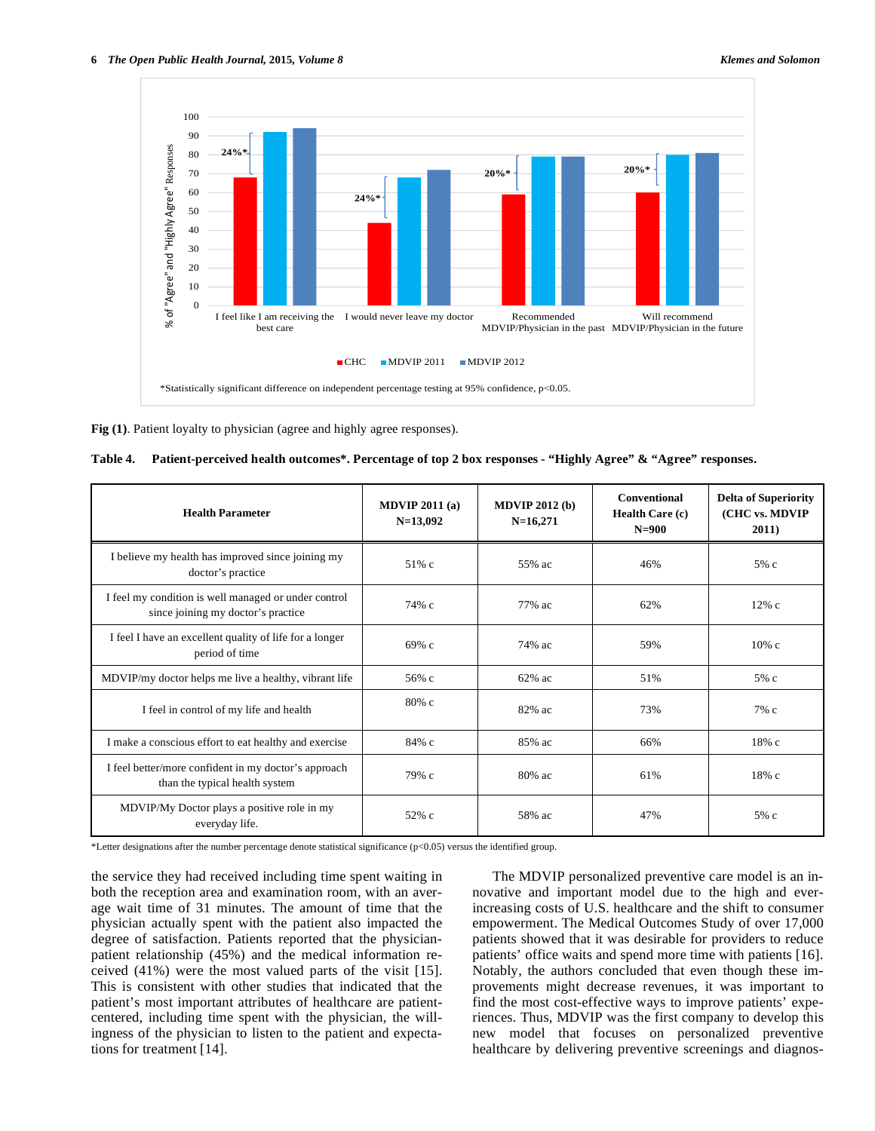

**Fig (1)**. Patient loyalty to physician (agree and highly agree responses).

| Table 4. Patient-perceived health outcomes*. Percentage of top 2 box responses - "Highly Agree" & "Agree" responses. |  |  |
|----------------------------------------------------------------------------------------------------------------------|--|--|
|                                                                                                                      |  |  |

| <b>Health Parameter</b>                                                                    | MDVIP $2011(a)$<br>$N=13,092$ | MDVIP $2012(b)$<br>$N=16,271$ | <b>Conventional</b><br>Health Care (c)<br>$N=900$ | <b>Delta of Superiority</b><br>(CHC vs. MDVIP<br>2011) |
|--------------------------------------------------------------------------------------------|-------------------------------|-------------------------------|---------------------------------------------------|--------------------------------------------------------|
| I believe my health has improved since joining my<br>doctor's practice                     | 51% c                         | 55% ac                        | 46%                                               | 5% c                                                   |
| I feel my condition is well managed or under control<br>since joining my doctor's practice | 74% с                         | 77% ac                        | 62%                                               | $12\%$ c                                               |
| I feel I have an excellent quality of life for a longer<br>period of time                  | 69% с                         | 74% ac                        | 59%                                               | $10\%$ c                                               |
| MDVIP/my doctor helps me live a healthy, vibrant life                                      | 56% с                         | $62\%$ ac                     | 51%                                               | 5% c                                                   |
| I feel in control of my life and health                                                    | $80\%$ c                      | 82% ac                        | 73%                                               | $7\%$ c                                                |
| I make a conscious effort to eat healthy and exercise                                      | 84% с                         | 85% ac                        | 66%                                               | 18%c                                                   |
| I feel better/more confident in my doctor's approach<br>than the typical health system     | 79% с                         | 80% ac                        | 61%                                               | 18% с                                                  |
| MDVIP/My Doctor plays a positive role in my<br>everyday life.                              | 52% c                         | 58% ac                        | 47%                                               | 5% c                                                   |

\*Letter designations after the number percentage denote statistical significance (p<0.05) versus the identified group.

the service they had received including time spent waiting in both the reception area and examination room, with an average wait time of 31 minutes. The amount of time that the physician actually spent with the patient also impacted the degree of satisfaction. Patients reported that the physicianpatient relationship (45%) and the medical information received (41%) were the most valued parts of the visit [15]. This is consistent with other studies that indicated that the patient's most important attributes of healthcare are patientcentered, including time spent with the physician, the willingness of the physician to listen to the patient and expectations for treatment [14].

The MDVIP personalized preventive care model is an innovative and important model due to the high and everincreasing costs of U.S. healthcare and the shift to consumer empowerment. The Medical Outcomes Study of over 17,000 patients showed that it was desirable for providers to reduce patients' office waits and spend more time with patients [16]. Notably, the authors concluded that even though these improvements might decrease revenues, it was important to find the most cost-effective ways to improve patients' experiences. Thus, MDVIP was the first company to develop this new model that focuses on personalized preventive healthcare by delivering preventive screenings and diagnos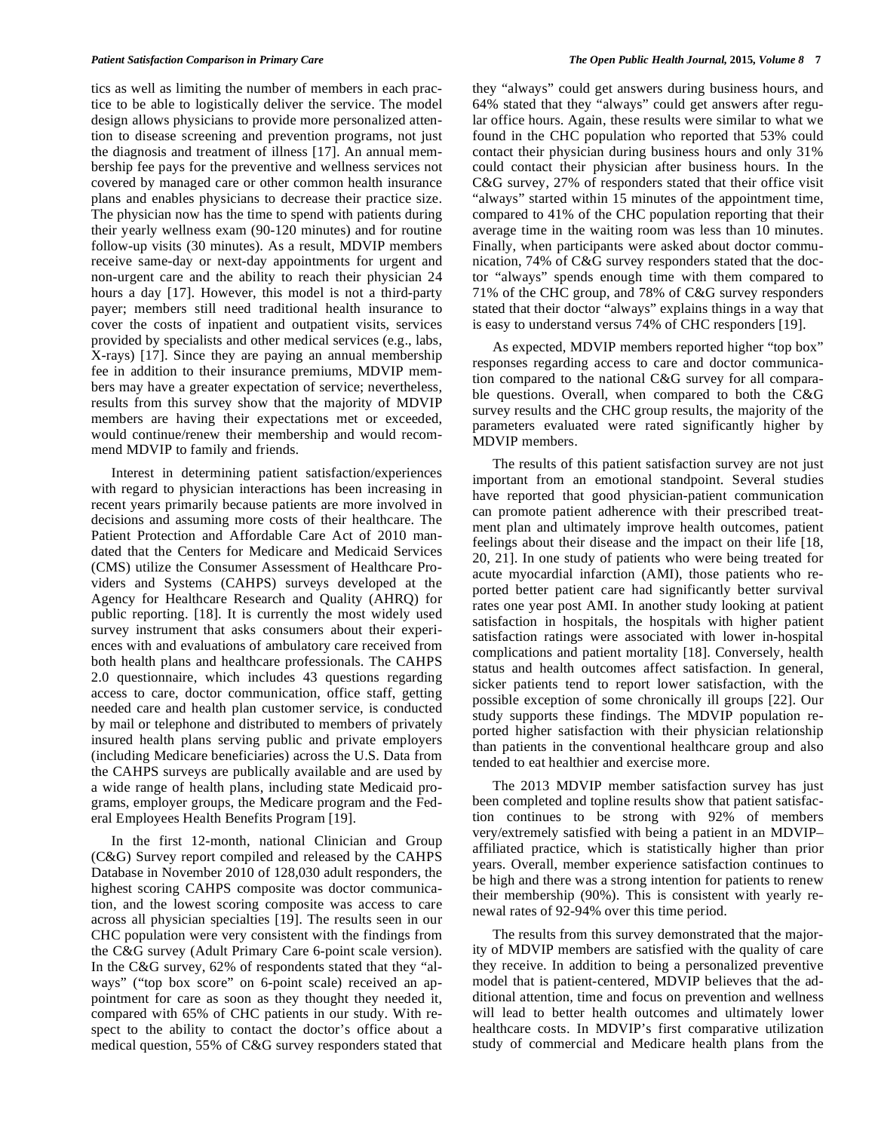tics as well as limiting the number of members in each practice to be able to logistically deliver the service. The model design allows physicians to provide more personalized attention to disease screening and prevention programs, not just the diagnosis and treatment of illness [17]. An annual membership fee pays for the preventive and wellness services not covered by managed care or other common health insurance plans and enables physicians to decrease their practice size. The physician now has the time to spend with patients during their yearly wellness exam (90-120 minutes) and for routine follow-up visits (30 minutes). As a result, MDVIP members receive same-day or next-day appointments for urgent and non-urgent care and the ability to reach their physician 24 hours a day [17]. However, this model is not a third-party payer; members still need traditional health insurance to cover the costs of inpatient and outpatient visits, services provided by specialists and other medical services (e.g., labs, X-rays) [17]. Since they are paying an annual membership fee in addition to their insurance premiums, MDVIP members may have a greater expectation of service; nevertheless, results from this survey show that the majority of MDVIP members are having their expectations met or exceeded, would continue/renew their membership and would recommend MDVIP to family and friends.

Interest in determining patient satisfaction/experiences with regard to physician interactions has been increasing in recent years primarily because patients are more involved in decisions and assuming more costs of their healthcare. The Patient Protection and Affordable Care Act of 2010 mandated that the Centers for Medicare and Medicaid Services (CMS) utilize the Consumer Assessment of Healthcare Providers and Systems (CAHPS) surveys developed at the Agency for Healthcare Research and Quality (AHRQ) for public reporting. [18]. It is currently the most widely used survey instrument that asks consumers about their experiences with and evaluations of ambulatory care received from both health plans and healthcare professionals. The CAHPS 2.0 questionnaire, which includes 43 questions regarding access to care, doctor communication, office staff, getting needed care and health plan customer service, is conducted by mail or telephone and distributed to members of privately insured health plans serving public and private employers (including Medicare beneficiaries) across the U.S. Data from the CAHPS surveys are publically available and are used by a wide range of health plans, including state Medicaid programs, employer groups, the Medicare program and the Federal Employees Health Benefits Program [19].

In the first 12-month, national Clinician and Group (C&G) Survey report compiled and released by the CAHPS Database in November 2010 of 128,030 adult responders, the highest scoring CAHPS composite was doctor communication, and the lowest scoring composite was access to care across all physician specialties [19]. The results seen in our CHC population were very consistent with the findings from the C&G survey (Adult Primary Care 6-point scale version). In the C&G survey, 62% of respondents stated that they "always" ("top box score" on 6-point scale) received an appointment for care as soon as they thought they needed it, compared with 65% of CHC patients in our study. With respect to the ability to contact the doctor's office about a medical question, 55% of C&G survey responders stated that

they "always" could get answers during business hours, and 64% stated that they "always" could get answers after regular office hours. Again, these results were similar to what we found in the CHC population who reported that 53% could contact their physician during business hours and only 31% could contact their physician after business hours. In the C&G survey, 27% of responders stated that their office visit "always" started within 15 minutes of the appointment time, compared to 41% of the CHC population reporting that their average time in the waiting room was less than 10 minutes. Finally, when participants were asked about doctor communication, 74% of C&G survey responders stated that the doctor "always" spends enough time with them compared to 71% of the CHC group, and 78% of C&G survey responders stated that their doctor "always" explains things in a way that is easy to understand versus 74% of CHC responders [19].

As expected, MDVIP members reported higher "top box" responses regarding access to care and doctor communication compared to the national C&G survey for all comparable questions. Overall, when compared to both the C&G survey results and the CHC group results, the majority of the parameters evaluated were rated significantly higher by MDVIP members.

The results of this patient satisfaction survey are not just important from an emotional standpoint. Several studies have reported that good physician-patient communication can promote patient adherence with their prescribed treatment plan and ultimately improve health outcomes, patient feelings about their disease and the impact on their life [18, 20, 21]. In one study of patients who were being treated for acute myocardial infarction (AMI), those patients who reported better patient care had significantly better survival rates one year post AMI. In another study looking at patient satisfaction in hospitals, the hospitals with higher patient satisfaction ratings were associated with lower in-hospital complications and patient mortality [18]. Conversely, health status and health outcomes affect satisfaction. In general, sicker patients tend to report lower satisfaction, with the possible exception of some chronically ill groups [22]. Our study supports these findings. The MDVIP population reported higher satisfaction with their physician relationship than patients in the conventional healthcare group and also tended to eat healthier and exercise more.

The 2013 MDVIP member satisfaction survey has just been completed and topline results show that patient satisfaction continues to be strong with 92% of members very/extremely satisfied with being a patient in an MDVIP– affiliated practice, which is statistically higher than prior years. Overall, member experience satisfaction continues to be high and there was a strong intention for patients to renew their membership (90%). This is consistent with yearly renewal rates of 92-94% over this time period.

The results from this survey demonstrated that the majority of MDVIP members are satisfied with the quality of care they receive. In addition to being a personalized preventive model that is patient-centered, MDVIP believes that the additional attention, time and focus on prevention and wellness will lead to better health outcomes and ultimately lower healthcare costs. In MDVIP's first comparative utilization study of commercial and Medicare health plans from the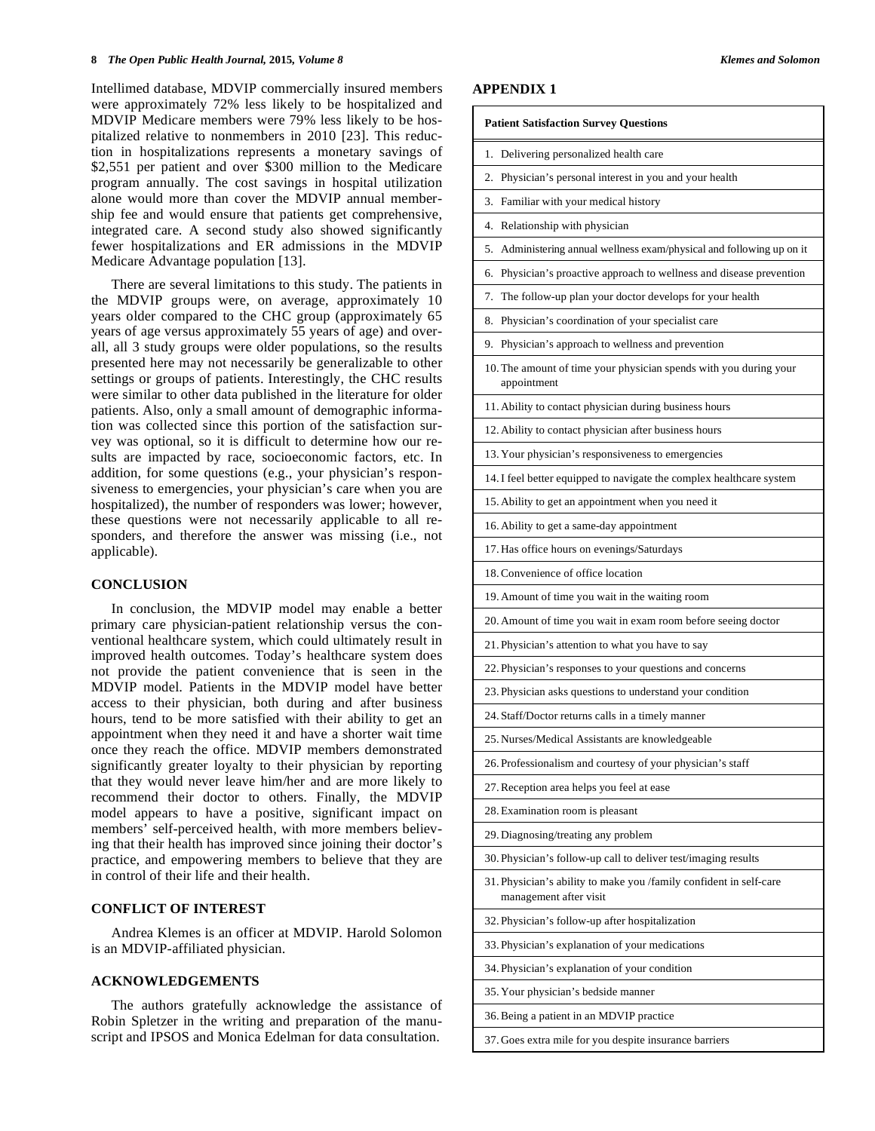Intellimed database, MDVIP commercially insured members were approximately 72% less likely to be hospitalized and MDVIP Medicare members were 79% less likely to be hospitalized relative to nonmembers in 2010 [23]. This reduction in hospitalizations represents a monetary savings of \$2,551 per patient and over \$300 million to the Medicare program annually. The cost savings in hospital utilization alone would more than cover the MDVIP annual membership fee and would ensure that patients get comprehensive, integrated care. A second study also showed significantly fewer hospitalizations and ER admissions in the MDVIP Medicare Advantage population [13].

There are several limitations to this study. The patients in the MDVIP groups were, on average, approximately 10 years older compared to the CHC group (approximately 65 years of age versus approximately 55 years of age) and overall, all 3 study groups were older populations, so the results presented here may not necessarily be generalizable to other settings or groups of patients. Interestingly, the CHC results were similar to other data published in the literature for older patients. Also, only a small amount of demographic information was collected since this portion of the satisfaction survey was optional, so it is difficult to determine how our results are impacted by race, socioeconomic factors, etc. In addition, for some questions (e.g., your physician's responsiveness to emergencies, your physician's care when you are hospitalized), the number of responders was lower; however, these questions were not necessarily applicable to all responders, and therefore the answer was missing (i.e., not applicable).

#### **CONCLUSION**

In conclusion, the MDVIP model may enable a better primary care physician-patient relationship versus the conventional healthcare system, which could ultimately result in improved health outcomes. Today's healthcare system does not provide the patient convenience that is seen in the MDVIP model. Patients in the MDVIP model have better access to their physician, both during and after business hours, tend to be more satisfied with their ability to get an appointment when they need it and have a shorter wait time once they reach the office. MDVIP members demonstrated significantly greater loyalty to their physician by reporting that they would never leave him/her and are more likely to recommend their doctor to others. Finally, the MDVIP model appears to have a positive, significant impact on members' self-perceived health, with more members believing that their health has improved since joining their doctor's practice, and empowering members to believe that they are in control of their life and their health.

#### **CONFLICT OF INTEREST**

Andrea Klemes is an officer at MDVIP. Harold Solomon is an MDVIP-affiliated physician.

# **ACKNOWLEDGEMENTS**

The authors gratefully acknowledge the assistance of Robin Spletzer in the writing and preparation of the manuscript and IPSOS and Monica Edelman for data consultation.

# **APPENDIX 1**

| <b>Patient Satisfaction Survey Questions</b>                                                 |
|----------------------------------------------------------------------------------------------|
| Delivering personalized health care<br>1.                                                    |
| 2.<br>Physician's personal interest in you and your health                                   |
| Familiar with your medical history<br>3.                                                     |
| Relationship with physician<br>4.                                                            |
| Administering annual wellness exam/physical and following up on it<br>5.                     |
| Physician's proactive approach to wellness and disease prevention<br>6.                      |
| The follow-up plan your doctor develops for your health<br>7.                                |
| Physician's coordination of your specialist care<br>8.                                       |
| Physician's approach to wellness and prevention<br>9.                                        |
| 10. The amount of time your physician spends with you during your<br>appointment             |
| 11. Ability to contact physician during business hours                                       |
| 12. Ability to contact physician after business hours                                        |
| 13. Your physician's responsiveness to emergencies                                           |
| 14. I feel better equipped to navigate the complex healthcare system                         |
| 15. Ability to get an appointment when you need it                                           |
| 16. Ability to get a same-day appointment                                                    |
| 17. Has office hours on evenings/Saturdays                                                   |
| 18. Convenience of office location                                                           |
| 19. Amount of time you wait in the waiting room                                              |
| 20. Amount of time you wait in exam room before seeing doctor                                |
| 21. Physician's attention to what you have to say                                            |
| 22. Physician's responses to your questions and concerns                                     |
| 23. Physician asks questions to understand your condition                                    |
| 24. Staff/Doctor returns calls in a timely manner                                            |
| 25. Nurses/Medical Assistants are knowledgeable                                              |
| 26. Professionalism and courtesy of your physician's staff                                   |
| 27. Reception area helps you feel at ease                                                    |
| 28. Examination room is pleasant                                                             |
| 29. Diagnosing/treating any problem                                                          |
| 30. Physician's follow-up call to deliver test/imaging results                               |
| 31. Physician's ability to make you /family confident in self-care<br>management after visit |
| 32. Physician's follow-up after hospitalization                                              |
| 33. Physician's explanation of your medications                                              |
| 34. Physician's explanation of your condition                                                |
| 35. Your physician's bedside manner                                                          |
| 36. Being a patient in an MDVIP practice                                                     |
| 37. Goes extra mile for you despite insurance barriers                                       |